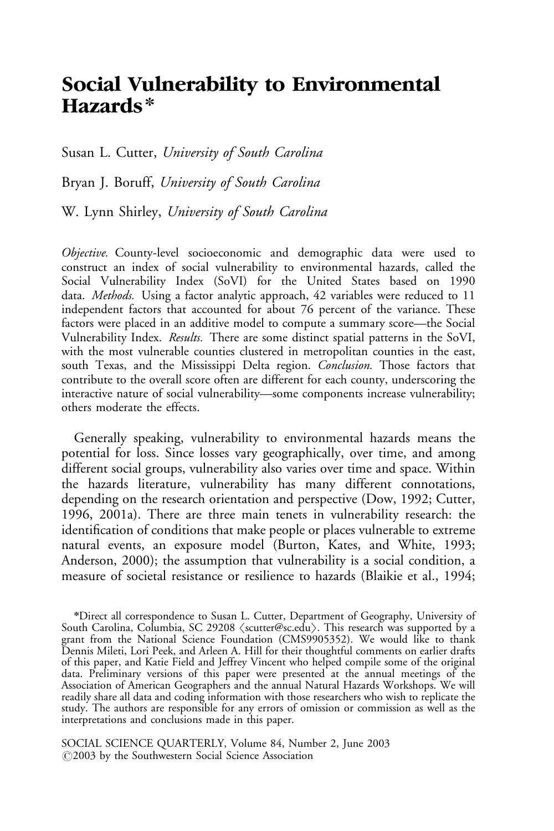# Social Vulnerability to Environmental Hazards\*

Susan L. Cutter, University of South Carolina

Bryan J. Boruff, University of South Carolina

W. Lynn Shirley, University of South Carolina

Objective. County-level socioeconomic and demographic data were used to construct an index of social vulnerability to environmental hazards, called the Social Vulnerability Index (SoVI) for the United States based on 1990 data. Methods. Using a factor analytic approach, 42 variables were reduced to 11 independent factors that accounted for about 76 percent of the variance. These factors were placed in an additive model to compute a summary score—the Social Vulnerability Index. Results. There are some distinct spatial patterns in the SoVI, with the most vulnerable counties clustered in metropolitan counties in the east, south Texas, and the Mississippi Delta region. *Conclusion*. Those factors that contribute to the overall score often are different for each county, underscoring the interactive nature of social vulnerability—some components increase vulnerability; others moderate the effects.

Generally speaking, vulnerability to environmental hazards means the potential for loss. Since losses vary geographically, over time, and among different social groups, vulnerability also varies over time and space. Within the hazards literature, vulnerability has many different connotations, depending on the research orientation and perspective (Dow, 1992; Cutter, 1996, 2001a). There are three main tenets in vulnerability research: the identification of conditions that make people or places vulnerable to extreme natural events, an exposure model (Burton, Kates, and White, 1993; Anderson, 2000); the assumption that vulnerability is a social condition, a measure of societal resistance or resilience to hazards (Blaikie et al., 1994;

\*Direct all correspondence to Susan L. Cutter, Department of Geography, University of South Carolina, Columbia, SC 29208  $\langle$ scutter@sc.edu $\rangle$ . This research was supported by a South Carolina, Columbia, SC 29208 /scutter@sc.eduS. This research was supported by a grant from the National Science Foundation (CMS9905352). We would like to thank Dennis Mileti, Lori Peek, and Arleen A. Hill for their thoughtful comments on earlier drafts of this paper, and Katie Field and Jeffrey Vincent who helped compile some of the original data. Preliminary versions of this paper were presented at the annual meetings of the Association of American Geographers and the annual Natural Hazards Workshops. We will readily share all data and coding information with those researchers who wish to replicate the study. The authors are responsible for any errors of omission or commission as well as the interpretations and conclusions made in this paper.

SOCIAL SCIENCE QUARTERLY, Volume 84, Number 2, June 2003 ©2003 by the Southwestern Social Science Association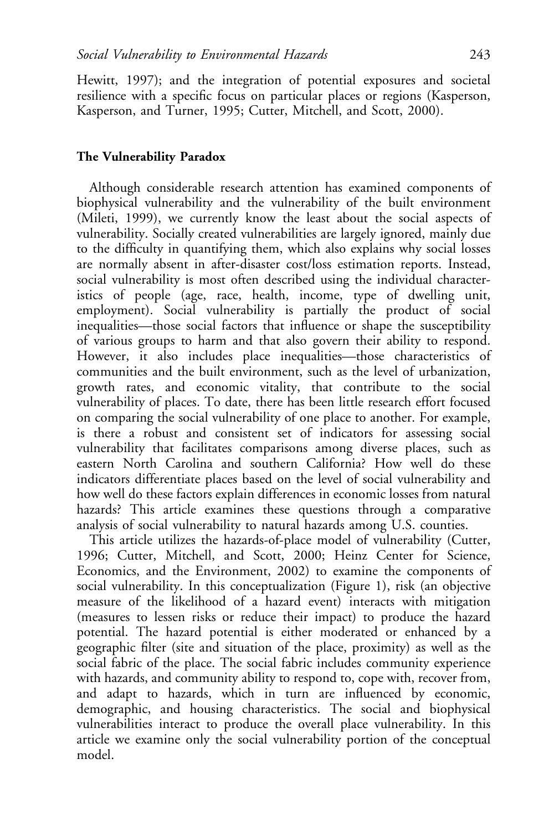Hewitt, 1997); and the integration of potential exposures and societal resilience with a specific focus on particular places or regions (Kasperson, Kasperson, and Turner, 1995; Cutter, Mitchell, and Scott, 2000).

# The Vulnerability Paradox

Although considerable research attention has examined components of biophysical vulnerability and the vulnerability of the built environment (Mileti, 1999), we currently know the least about the social aspects of vulnerability. Socially created vulnerabilities are largely ignored, mainly due to the difficulty in quantifying them, which also explains why social losses are normally absent in after-disaster cost/loss estimation reports. Instead, social vulnerability is most often described using the individual characteristics of people (age, race, health, income, type of dwelling unit, employment). Social vulnerability is partially the product of social inequalities—those social factors that influence or shape the susceptibility of various groups to harm and that also govern their ability to respond. However, it also includes place inequalities—those characteristics of communities and the built environment, such as the level of urbanization, growth rates, and economic vitality, that contribute to the social vulnerability of places. To date, there has been little research effort focused on comparing the social vulnerability of one place to another. For example, is there a robust and consistent set of indicators for assessing social vulnerability that facilitates comparisons among diverse places, such as eastern North Carolina and southern California? How well do these indicators differentiate places based on the level of social vulnerability and how well do these factors explain differences in economic losses from natural hazards? This article examines these questions through a comparative analysis of social vulnerability to natural hazards among U.S. counties.

This article utilizes the hazards-of-place model of vulnerability (Cutter, 1996; Cutter, Mitchell, and Scott, 2000; Heinz Center for Science, Economics, and the Environment, 2002) to examine the components of social vulnerability. In this conceptualization (Figure 1), risk (an objective measure of the likelihood of a hazard event) interacts with mitigation (measures to lessen risks or reduce their impact) to produce the hazard potential. The hazard potential is either moderated or enhanced by a geographic filter (site and situation of the place, proximity) as well as the social fabric of the place. The social fabric includes community experience with hazards, and community ability to respond to, cope with, recover from, and adapt to hazards, which in turn are influenced by economic, demographic, and housing characteristics. The social and biophysical vulnerabilities interact to produce the overall place vulnerability. In this article we examine only the social vulnerability portion of the conceptual model.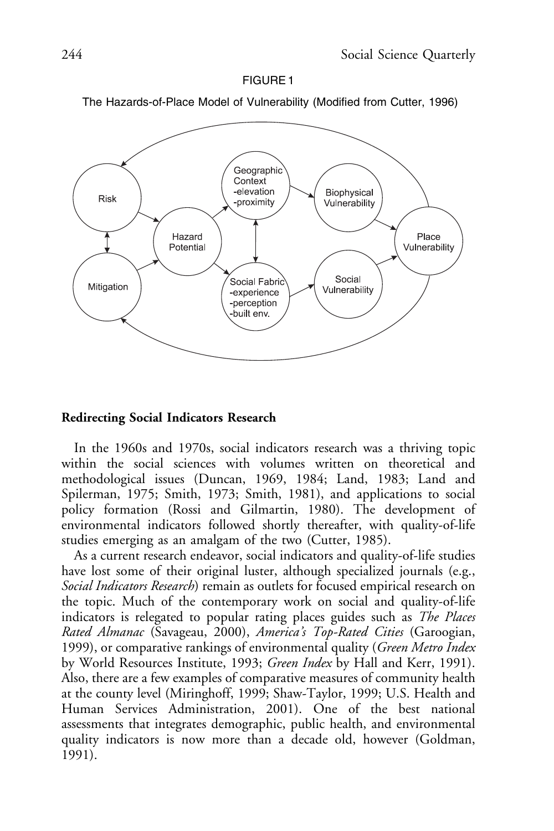#### FIGURE 1

The Hazards-of-Place Model of Vulnerability (Modified from Cutter, 1996)



## Redirecting Social Indicators Research

In the 1960s and 1970s, social indicators research was a thriving topic within the social sciences with volumes written on theoretical and methodological issues (Duncan, 1969, 1984; Land, 1983; Land and Spilerman, 1975; Smith, 1973; Smith, 1981), and applications to social policy formation (Rossi and Gilmartin, 1980). The development of environmental indicators followed shortly thereafter, with quality-of-life studies emerging as an amalgam of the two (Cutter, 1985).

As a current research endeavor, social indicators and quality-of-life studies have lost some of their original luster, although specialized journals (e.g., Social Indicators Research) remain as outlets for focused empirical research on the topic. Much of the contemporary work on social and quality-of-life indicators is relegated to popular rating places guides such as The Places Rated Almanac (Savageau, 2000), America's Top-Rated Cities (Garoogian, 1999), or comparative rankings of environmental quality (Green Metro Index by World Resources Institute, 1993; Green Index by Hall and Kerr, 1991). Also, there are a few examples of comparative measures of community health at the county level (Miringhoff, 1999; Shaw-Taylor, 1999; U.S. Health and Human Services Administration, 2001). One of the best national assessments that integrates demographic, public health, and environmental quality indicators is now more than a decade old, however (Goldman, 1991).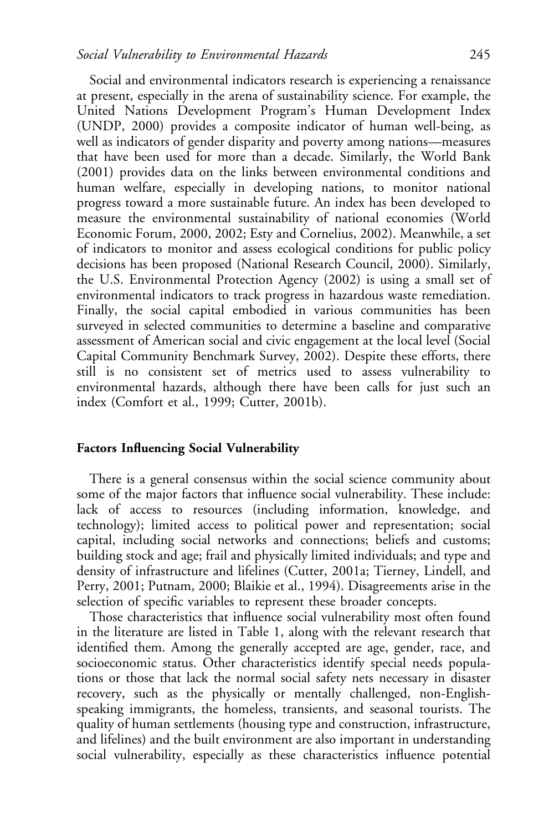Social and environmental indicators research is experiencing a renaissance at present, especially in the arena of sustainability science. For example, the United Nations Development Program's Human Development Index (UNDP, 2000) provides a composite indicator of human well-being, as well as indicators of gender disparity and poverty among nations—measures that have been used for more than a decade. Similarly, the World Bank (2001) provides data on the links between environmental conditions and human welfare, especially in developing nations, to monitor national progress toward a more sustainable future. An index has been developed to measure the environmental sustainability of national economies (World Economic Forum, 2000, 2002; Esty and Cornelius, 2002). Meanwhile, a set of indicators to monitor and assess ecological conditions for public policy decisions has been proposed (National Research Council, 2000). Similarly, the U.S. Environmental Protection Agency (2002) is using a small set of environmental indicators to track progress in hazardous waste remediation. Finally, the social capital embodied in various communities has been surveyed in selected communities to determine a baseline and comparative assessment of American social and civic engagement at the local level (Social Capital Community Benchmark Survey, 2002). Despite these efforts, there still is no consistent set of metrics used to assess vulnerability to environmental hazards, although there have been calls for just such an index (Comfort et al., 1999; Cutter, 2001b).

#### Factors Influencing Social Vulnerability

There is a general consensus within the social science community about some of the major factors that influence social vulnerability. These include: lack of access to resources (including information, knowledge, and technology); limited access to political power and representation; social capital, including social networks and connections; beliefs and customs; building stock and age; frail and physically limited individuals; and type and density of infrastructure and lifelines (Cutter, 2001a; Tierney, Lindell, and Perry, 2001; Putnam, 2000; Blaikie et al., 1994). Disagreements arise in the selection of specific variables to represent these broader concepts.

Those characteristics that influence social vulnerability most often found in the literature are listed in Table 1, along with the relevant research that identified them. Among the generally accepted are age, gender, race, and socioeconomic status. Other characteristics identify special needs populations or those that lack the normal social safety nets necessary in disaster recovery, such as the physically or mentally challenged, non-Englishspeaking immigrants, the homeless, transients, and seasonal tourists. The quality of human settlements (housing type and construction, infrastructure, and lifelines) and the built environment are also important in understanding social vulnerability, especially as these characteristics influence potential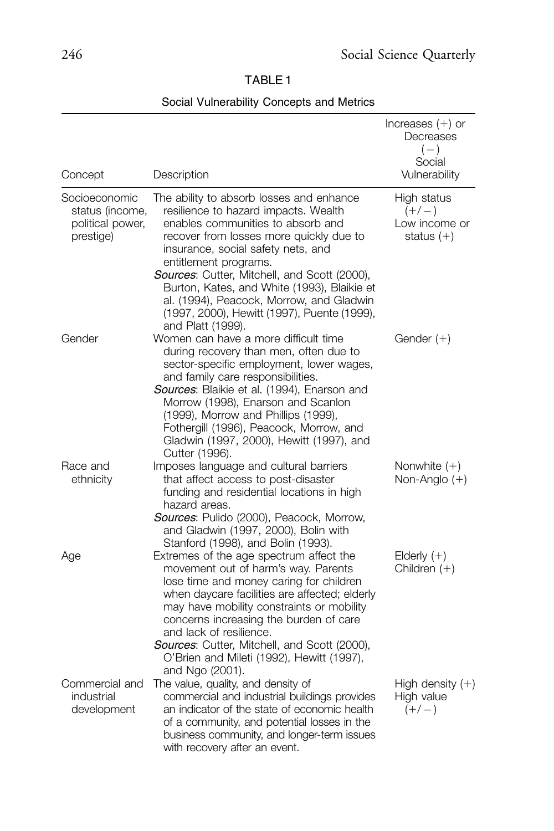# TABLE 1

# Social Vulnerability Concepts and Metrics

|                                                                   |                                                                                                                                                                                                                                                                                                                                                                                                                           | Increases $(+)$ or<br>Decreases                         |
|-------------------------------------------------------------------|---------------------------------------------------------------------------------------------------------------------------------------------------------------------------------------------------------------------------------------------------------------------------------------------------------------------------------------------------------------------------------------------------------------------------|---------------------------------------------------------|
| Concept                                                           | Description                                                                                                                                                                                                                                                                                                                                                                                                               | $(-)$<br>Social<br>Vulnerability                        |
| Socioeconomic<br>status (income,<br>political power,<br>prestige) | The ability to absorb losses and enhance<br>resilience to hazard impacts. Wealth<br>enables communities to absorb and<br>recover from losses more quickly due to<br>insurance, social safety nets, and<br>entitlement programs.<br>Sources: Cutter, Mitchell, and Scott (2000),<br>Burton, Kates, and White (1993), Blaikie et<br>al. (1994), Peacock, Morrow, and Gladwin<br>(1997, 2000), Hewitt (1997), Puente (1999), | High status<br>$(+/-)$<br>Low income or<br>status $(+)$ |
| Gender                                                            | and Platt (1999).<br>Women can have a more difficult time<br>during recovery than men, often due to<br>sector-specific employment, lower wages,<br>and family care responsibilities.<br>Sources: Blaikie et al. (1994), Enarson and<br>Morrow (1998), Enarson and Scanlon<br>(1999), Morrow and Phillips (1999),<br>Fothergill (1996), Peacock, Morrow, and<br>Gladwin (1997, 2000), Hewitt (1997), and<br>Cutter (1996). | Gender (+)                                              |
| Race and<br>ethnicity                                             | Imposes language and cultural barriers<br>that affect access to post-disaster<br>funding and residential locations in high<br>hazard areas.<br>Sources: Pulido (2000), Peacock, Morrow,<br>and Gladwin (1997, 2000), Bolin with<br>Stanford (1998), and Bolin (1993).                                                                                                                                                     | Nonwhite $(+)$<br>Non-Anglo $(+)$                       |
| Age                                                               | Extremes of the age spectrum affect the<br>movement out of harm's way. Parents<br>lose time and money caring for children<br>when daycare facilities are affected; elderly<br>may have mobility constraints or mobility<br>concerns increasing the burden of care<br>and lack of resilience.<br>Sources: Cutter, Mitchell, and Scott (2000),<br>O'Brien and Mileti (1992), Hewitt (1997),<br>and Ngo (2001).              | Elderly $(+)$<br>Children $(+)$                         |
| Commercial and<br>industrial<br>development                       | The value, quality, and density of<br>commercial and industrial buildings provides<br>an indicator of the state of economic health<br>of a community, and potential losses in the<br>business community, and longer-term issues<br>with recovery after an event.                                                                                                                                                          | High density $(+)$<br>High value<br>$(+/-)$             |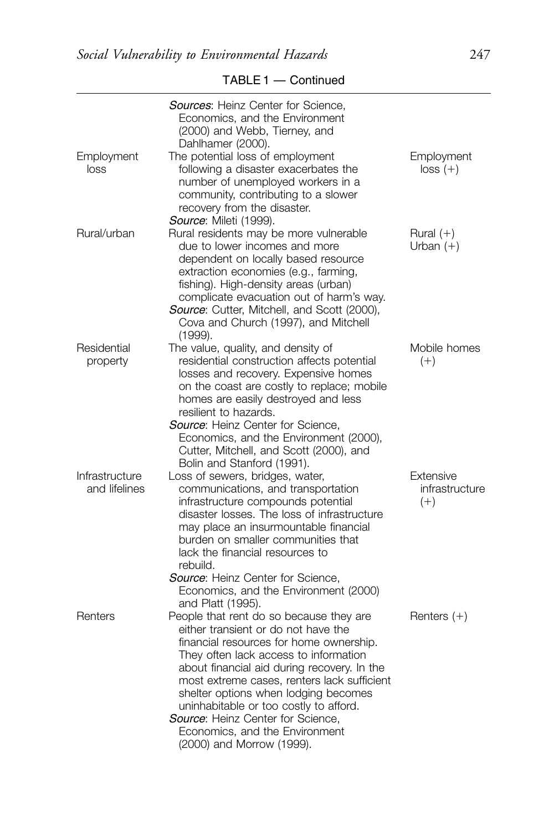|                                 | <b>Sources:</b> Heinz Center for Science,<br>Economics, and the Environment<br>(2000) and Webb, Tierney, and<br>Dahlhamer (2000).                                                                                                                                                                                                                                                                                                                                                  |                                      |
|---------------------------------|------------------------------------------------------------------------------------------------------------------------------------------------------------------------------------------------------------------------------------------------------------------------------------------------------------------------------------------------------------------------------------------------------------------------------------------------------------------------------------|--------------------------------------|
| Employment<br>loss              | The potential loss of employment<br>following a disaster exacerbates the<br>number of unemployed workers in a<br>community, contributing to a slower<br>recovery from the disaster.                                                                                                                                                                                                                                                                                                | Employment<br>$loss (+)$             |
| Rural/urban                     | Source: Mileti (1999).<br>Rural residents may be more vulnerable<br>due to lower incomes and more<br>dependent on locally based resource<br>extraction economies (e.g., farming,<br>fishing). High-density areas (urban)<br>complicate evacuation out of harm's way.<br>Source: Cutter, Mitchell, and Scott (2000),<br>Cova and Church (1997), and Mitchell<br>(1999).                                                                                                             | Rural $(+)$<br>Urban $(+)$           |
| Residential<br>property         | The value, quality, and density of<br>residential construction affects potential<br>losses and recovery. Expensive homes<br>on the coast are costly to replace; mobile<br>homes are easily destroyed and less<br>resilient to hazards.<br>Source: Heinz Center for Science,<br>Economics, and the Environment (2000),<br>Cutter, Mitchell, and Scott (2000), and<br>Bolin and Stanford (1991).                                                                                     | Mobile homes<br>$(+)$                |
| Infrastructure<br>and lifelines | Loss of sewers, bridges, water,<br>communications, and transportation<br>infrastructure compounds potential<br>disaster losses. The loss of infrastructure<br>may place an insurmountable financial<br>burden on smaller communities that<br>lack the financial resources to<br>rebuild.<br><b>Source:</b> Heinz Center for Science,<br>Economics, and the Environment (2000)                                                                                                      | Extensive<br>infrastructure<br>$(+)$ |
| Renters                         | and Platt (1995).<br>People that rent do so because they are<br>either transient or do not have the<br>financial resources for home ownership.<br>They often lack access to information<br>about financial aid during recovery. In the<br>most extreme cases, renters lack sufficient<br>shelter options when lodging becomes<br>uninhabitable or too costly to afford.<br><b>Source:</b> Heinz Center for Science,<br>Economics, and the Environment<br>(2000) and Morrow (1999). | Renters $(+)$                        |

TABLE 1 — Continued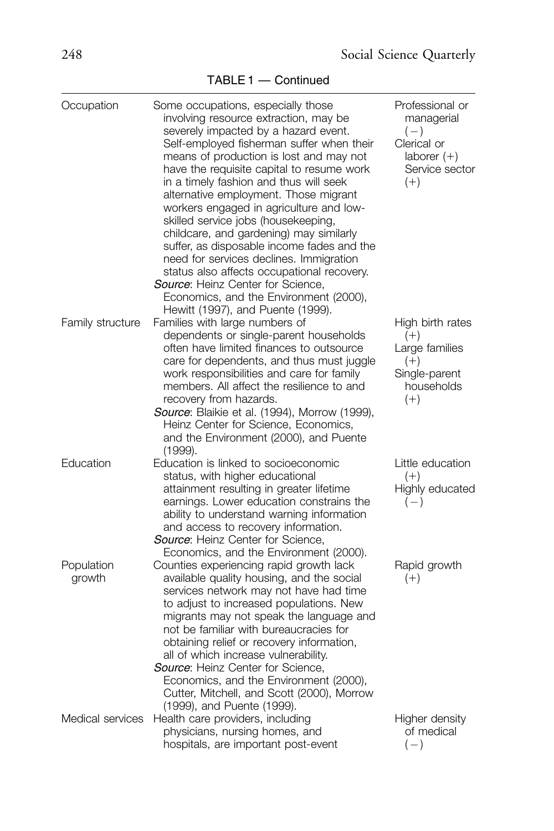| Occupation           | Some occupations, especially those<br>involving resource extraction, may be<br>severely impacted by a hazard event.<br>Self-employed fisherman suffer when their<br>means of production is lost and may not<br>have the requisite capital to resume work<br>in a timely fashion and thus will seek<br>alternative employment. Those migrant<br>workers engaged in agriculture and low-<br>skilled service jobs (housekeeping,<br>childcare, and gardening) may similarly<br>suffer, as disposable income fades and the<br>need for services declines. Immigration<br>status also affects occupational recovery. | Professional or<br>managerial<br>$(-)$<br>Clerical or<br>laborer $(+)$<br>Service sector<br>$(+)$ |
|----------------------|-----------------------------------------------------------------------------------------------------------------------------------------------------------------------------------------------------------------------------------------------------------------------------------------------------------------------------------------------------------------------------------------------------------------------------------------------------------------------------------------------------------------------------------------------------------------------------------------------------------------|---------------------------------------------------------------------------------------------------|
|                      | <b>Source:</b> Heinz Center for Science,<br>Economics, and the Environment (2000),                                                                                                                                                                                                                                                                                                                                                                                                                                                                                                                              |                                                                                                   |
| Family structure     | Hewitt (1997), and Puente (1999).<br>Families with large numbers of<br>dependents or single-parent households<br>often have limited finances to outsource<br>care for dependents, and thus must juggle<br>work responsibilities and care for family<br>members. All affect the resilience to and<br>recovery from hazards.                                                                                                                                                                                                                                                                                      | High birth rates<br>$(+)$<br>Large families<br>$(+)$<br>Single-parent<br>households<br>$(+)$      |
|                      | Source: Blaikie et al. (1994), Morrow (1999),<br>Heinz Center for Science, Economics,<br>and the Environment (2000), and Puente                                                                                                                                                                                                                                                                                                                                                                                                                                                                                 |                                                                                                   |
| Education            | (1999).<br>Education is linked to socioeconomic<br>status, with higher educational<br>attainment resulting in greater lifetime<br>earnings. Lower education constrains the<br>ability to understand warning information<br>and access to recovery information.                                                                                                                                                                                                                                                                                                                                                  | Little education<br>$(+)$<br>Highly educated<br>$(-)$                                             |
|                      | Source: Heinz Center for Science,                                                                                                                                                                                                                                                                                                                                                                                                                                                                                                                                                                               |                                                                                                   |
| Population<br>growth | Economics, and the Environment (2000).<br>Counties experiencing rapid growth lack<br>available quality housing, and the social<br>services network may not have had time<br>to adjust to increased populations. New<br>migrants may not speak the language and<br>not be familiar with bureaucracies for<br>obtaining relief or recovery information,<br>all of which increase vulnerability.                                                                                                                                                                                                                   | Rapid growth<br>$(+)$                                                                             |
|                      | <b>Source:</b> Heinz Center for Science,<br>Economics, and the Environment (2000),                                                                                                                                                                                                                                                                                                                                                                                                                                                                                                                              |                                                                                                   |
|                      | Cutter, Mitchell, and Scott (2000), Morrow<br>(1999), and Puente (1999).                                                                                                                                                                                                                                                                                                                                                                                                                                                                                                                                        |                                                                                                   |
| Medical services     | Health care providers, including<br>physicians, nursing homes, and<br>hospitals, are important post-event                                                                                                                                                                                                                                                                                                                                                                                                                                                                                                       | Higher density<br>of medical<br>$(-)$                                                             |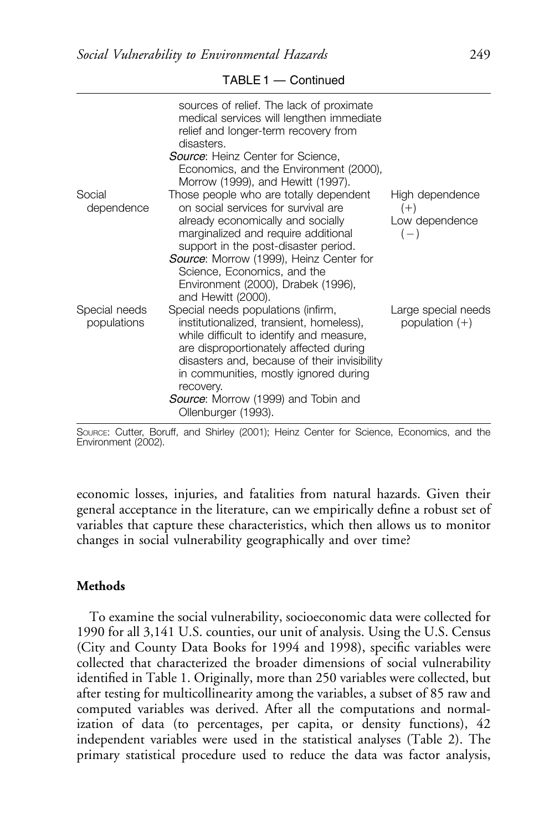|                              | sources of relief. The lack of proximate<br>medical services will lengthen immediate<br>relief and longer-term recovery from<br>disasters.<br><b>Source:</b> Heinz Center for Science,                                                                                     |                                         |
|------------------------------|----------------------------------------------------------------------------------------------------------------------------------------------------------------------------------------------------------------------------------------------------------------------------|-----------------------------------------|
|                              | Economics, and the Environment (2000),                                                                                                                                                                                                                                     |                                         |
| Social<br>dependence         | Morrow (1999), and Hewitt (1997).<br>Those people who are totally dependent<br>on social services for survival are                                                                                                                                                         | High dependence<br>$(+)$                |
|                              | already economically and socially<br>marginalized and require additional<br>support in the post-disaster period.                                                                                                                                                           | Low dependence<br>$(-)$                 |
|                              | <b>Source:</b> Morrow (1999), Heinz Center for<br>Science, Economics, and the<br>Environment (2000), Drabek (1996),<br>and Hewitt (2000).                                                                                                                                  |                                         |
| Special needs<br>populations | Special needs populations (infirm,<br>institutionalized, transient, homeless),<br>while difficult to identify and measure,<br>are disproportionately affected during<br>disasters and, because of their invisibility<br>in communities, mostly ignored during<br>recovery. | Large special needs<br>population $(+)$ |
|                              | <b>Source:</b> Morrow (1999) and Tobin and<br>Ollenburger (1993).                                                                                                                                                                                                          |                                         |

TABLE 1 — Continued

SOURCE: Cutter, Boruff, and Shirley (2001); Heinz Center for Science, Economics, and the Environment (2002).

economic losses, injuries, and fatalities from natural hazards. Given their general acceptance in the literature, can we empirically define a robust set of variables that capture these characteristics, which then allows us to monitor changes in social vulnerability geographically and over time?

#### Methods

To examine the social vulnerability, socioeconomic data were collected for 1990 for all 3,141 U.S. counties, our unit of analysis. Using the U.S. Census (City and County Data Books for 1994 and 1998), specific variables were collected that characterized the broader dimensions of social vulnerability identified in Table 1. Originally, more than 250 variables were collected, but after testing for multicollinearity among the variables, a subset of 85 raw and computed variables was derived. After all the computations and normalization of data (to percentages, per capita, or density functions), 42 independent variables were used in the statistical analyses (Table 2). The primary statistical procedure used to reduce the data was factor analysis,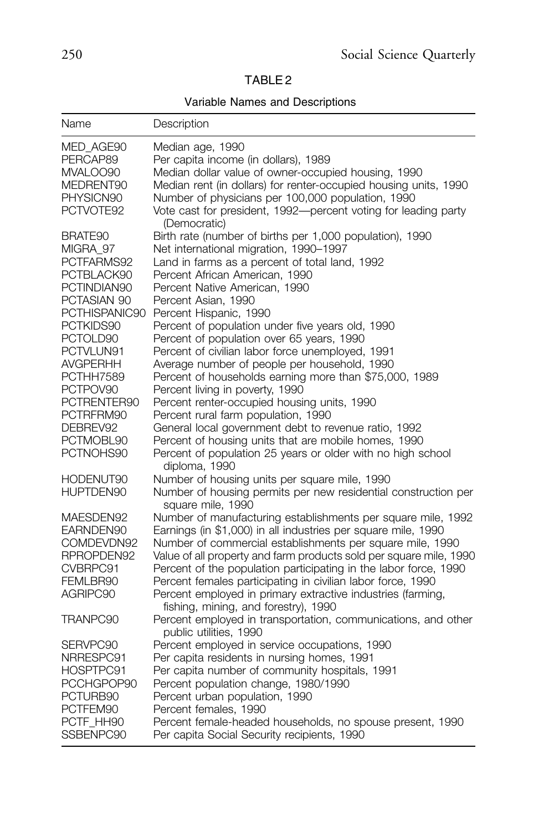# TABLE 2

Variable Names and Descriptions

| Name            | Description                                                                                         |
|-----------------|-----------------------------------------------------------------------------------------------------|
| MED_AGE90       | Median age, 1990                                                                                    |
| PERCAP89        | Per capita income (in dollars), 1989                                                                |
| MVALOO90        | Median dollar value of owner-occupied housing, 1990                                                 |
| MEDRENT90       | Median rent (in dollars) for renter-occupied housing units, 1990                                    |
| PHYSICN90       | Number of physicians per 100,000 population, 1990                                                   |
| PCTVOTE92       | Vote cast for president, 1992—percent voting for leading party<br>(Democratic)                      |
| BRATE90         | Birth rate (number of births per 1,000 population), 1990                                            |
| MIGRA_97        | Net international migration, 1990-1997                                                              |
| PCTFARMS92      | Land in farms as a percent of total land, 1992                                                      |
| PCTBLACK90      | Percent African American, 1990                                                                      |
| PCTINDIAN90     | Percent Native American, 1990                                                                       |
| PCTASIAN 90     | Percent Asian, 1990                                                                                 |
| PCTHISPANIC90   | Percent Hispanic, 1990                                                                              |
| PCTKIDS90       | Percent of population under five years old, 1990                                                    |
| PCTOLD90        | Percent of population over 65 years, 1990                                                           |
| PCTVLUN91       | Percent of civilian labor force unemployed, 1991                                                    |
| <b>AVGPERHH</b> | Average number of people per household, 1990                                                        |
| PCTHH7589       | Percent of households earning more than \$75,000, 1989                                              |
| PCTPOV90        | Percent living in poverty, 1990                                                                     |
| PCTRENTER90     | Percent renter-occupied housing units, 1990                                                         |
| PCTRFRM90       | Percent rural farm population, 1990                                                                 |
| DEBREV92        | General local government debt to revenue ratio, 1992                                                |
| PCTMOBL90       | Percent of housing units that are mobile homes, 1990                                                |
| PCTNOHS90       | Percent of population 25 years or older with no high school<br>diploma, 1990                        |
| HODENUT90       | Number of housing units per square mile, 1990                                                       |
| HUPTDEN90       | Number of housing permits per new residential construction per                                      |
|                 | square mile, 1990                                                                                   |
| MAESDEN92       | Number of manufacturing establishments per square mile, 1992                                        |
| EARNDEN90       | Earnings (in \$1,000) in all industries per square mile, 1990                                       |
| COMDEVDN92      | Number of commercial establishments per square mile, 1990                                           |
| RPROPDEN92      | Value of all property and farm products sold per square mile, 1990                                  |
| CVBRPC91        | Percent of the population participating in the labor force, 1990                                    |
| FEMLBR90        | Percent females participating in civilian labor force, 1990                                         |
| AGRIPC90        | Percent employed in primary extractive industries (farming,<br>fishing, mining, and forestry), 1990 |
| TRANPC90        | Percent employed in transportation, communications, and other<br>public utilities, 1990             |
| SERVPC90        | Percent employed in service occupations, 1990                                                       |
| NRRESPC91       | Per capita residents in nursing homes, 1991                                                         |
| HOSPTPC91       | Per capita number of community hospitals, 1991                                                      |
| PCCHGPOP90      | Percent population change, 1980/1990                                                                |
| PCTURB90        | Percent urban population, 1990                                                                      |
| PCTFEM90        | Percent females, 1990                                                                               |
| PCTF_HH90       | Percent female-headed households, no spouse present, 1990                                           |
| SSBENPC90       | Per capita Social Security recipients, 1990                                                         |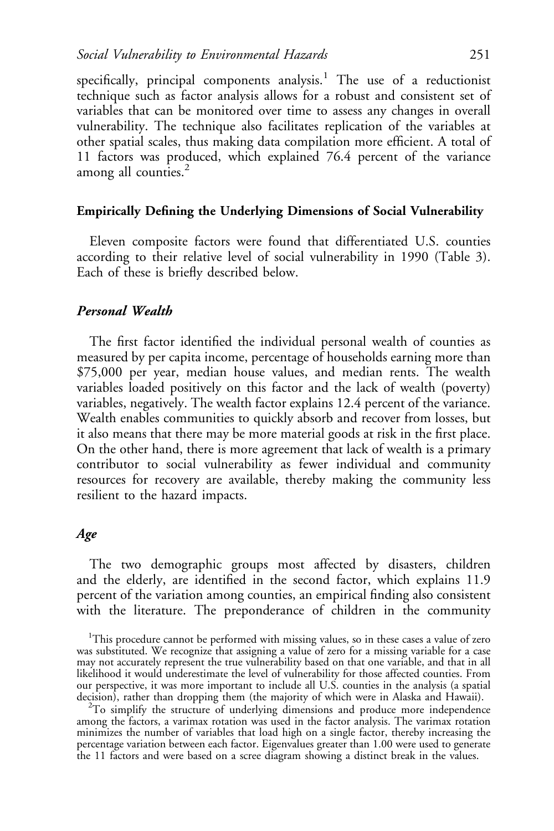specifically, principal components analysis.<sup>1</sup> The use of a reductionist technique such as factor analysis allows for a robust and consistent set of variables that can be monitored over time to assess any changes in overall vulnerability. The technique also facilitates replication of the variables at other spatial scales, thus making data compilation more efficient. A total of 11 factors was produced, which explained 76.4 percent of the variance among all counties.<sup>2</sup>

## Empirically Defining the Underlying Dimensions of Social Vulnerability

Eleven composite factors were found that differentiated U.S. counties according to their relative level of social vulnerability in 1990 (Table 3). Each of these is briefly described below.

#### Personal Wealth

The first factor identified the individual personal wealth of counties as measured by per capita income, percentage of households earning more than \$75,000 per year, median house values, and median rents. The wealth variables loaded positively on this factor and the lack of wealth (poverty) variables, negatively. The wealth factor explains 12.4 percent of the variance. Wealth enables communities to quickly absorb and recover from losses, but it also means that there may be more material goods at risk in the first place. On the other hand, there is more agreement that lack of wealth is a primary contributor to social vulnerability as fewer individual and community resources for recovery are available, thereby making the community less resilient to the hazard impacts.

# Age

The two demographic groups most affected by disasters, children and the elderly, are identified in the second factor, which explains 11.9 percent of the variation among counties, an empirical finding also consistent with the literature. The preponderance of children in the community

<sup>&</sup>lt;sup>1</sup>This procedure cannot be performed with missing values, so in these cases a value of zero was substituted. We recognize that assigning a value of zero for a missing variable for a case may not accurately represent the true vulnerability based on that one variable, and that in all likelihood it would underestimate the level of vulnerability for those affected counties. From our perspective, it was more important to include all U.S. counties in the analysis (a spatial decision), rather than dropping them (the majority of which were in Alaska and Hawaii).

<sup>&</sup>lt;sup>2</sup>To simplify the structure of underlying dimensions and produce more independence among the factors, a varimax rotation was used in the factor analysis. The varimax rotation minimizes the number of variables that load high on a single factor, thereby increasing the percentage variation between each factor. Eigenvalues greater than 1.00 were used to generate the 11 factors and were based on a scree diagram showing a distinct break in the values.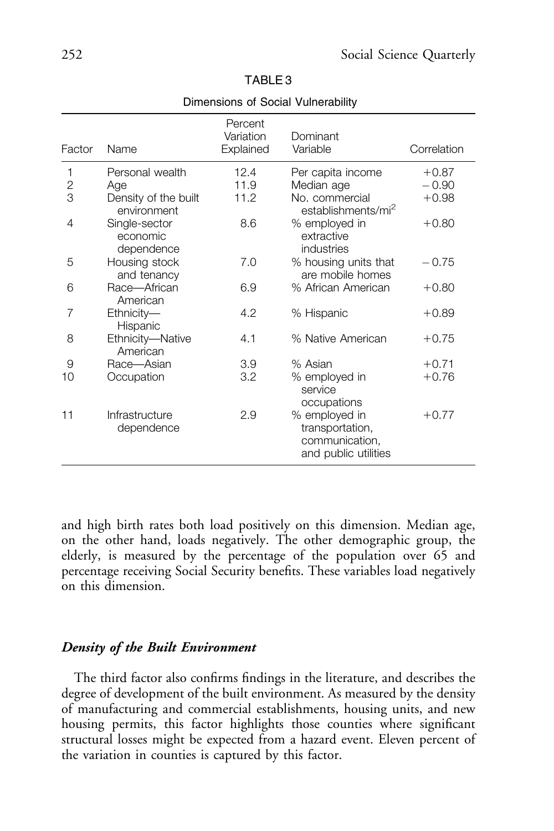| <b>Differentially of Octar valifierability</b> |                                         |                                   |                                                                            |             |
|------------------------------------------------|-----------------------------------------|-----------------------------------|----------------------------------------------------------------------------|-------------|
| Factor                                         | Name                                    | Percent<br>Variation<br>Explained | Dominant<br>Variable                                                       | Correlation |
| 1                                              | Personal wealth                         | 12.4                              | Per capita income                                                          | $+0.87$     |
| $\overline{c}$                                 | Age                                     | 11.9                              | Median age                                                                 | $-0.90$     |
| 3                                              | Density of the built<br>environment     | 11.2                              | No. commercial<br>establishments/mi <sup>2</sup>                           | $+0.98$     |
| 4                                              | Single-sector<br>economic<br>dependence | 8.6                               | % employed in<br>extractive<br>industries                                  | $+0.80$     |
| 5                                              | Housing stock<br>and tenancy            | 7.0                               | % housing units that<br>are mobile homes                                   | $-0.75$     |
| 6                                              | Race-African<br>American                | 6.9                               | % African American                                                         | $+0.80$     |
| 7                                              | Ethnicity-<br>Hispanic                  | 4.2                               | % Hispanic                                                                 | $+0.89$     |
| 8                                              | Ethnicity-Native<br>American            | 4.1                               | % Native American                                                          | $+0.75$     |
| 9                                              | Race-Asian                              | 3.9                               | % Asian                                                                    | $+0.71$     |
| 10                                             | Occupation                              | 3.2                               | % employed in<br>service<br>occupations                                    | $+0.76$     |
| 11                                             | Infrastructure<br>dependence            | 2.9                               | % employed in<br>transportation,<br>communication,<br>and public utilities | $+0.77$     |

TABLE 3

Dimensions of Social Vulnerability

and high birth rates both load positively on this dimension. Median age, on the other hand, loads negatively. The other demographic group, the elderly, is measured by the percentage of the population over 65 and percentage receiving Social Security benefits. These variables load negatively on this dimension.

## Density of the Built Environment

The third factor also confirms findings in the literature, and describes the degree of development of the built environment. As measured by the density of manufacturing and commercial establishments, housing units, and new housing permits, this factor highlights those counties where significant structural losses might be expected from a hazard event. Eleven percent of the variation in counties is captured by this factor.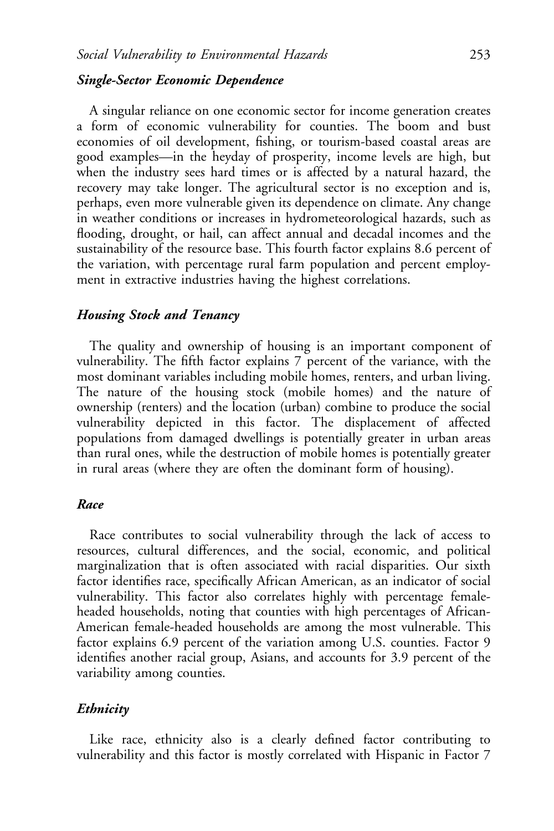## Single-Sector Economic Dependence

A singular reliance on one economic sector for income generation creates a form of economic vulnerability for counties. The boom and bust economies of oil development, fishing, or tourism-based coastal areas are good examples—in the heyday of prosperity, income levels are high, but when the industry sees hard times or is affected by a natural hazard, the recovery may take longer. The agricultural sector is no exception and is, perhaps, even more vulnerable given its dependence on climate. Any change in weather conditions or increases in hydrometeorological hazards, such as flooding, drought, or hail, can affect annual and decadal incomes and the sustainability of the resource base. This fourth factor explains 8.6 percent of the variation, with percentage rural farm population and percent employment in extractive industries having the highest correlations.

# Housing Stock and Tenancy

The quality and ownership of housing is an important component of vulnerability. The fifth factor explains 7 percent of the variance, with the most dominant variables including mobile homes, renters, and urban living. The nature of the housing stock (mobile homes) and the nature of ownership (renters) and the location (urban) combine to produce the social vulnerability depicted in this factor. The displacement of affected populations from damaged dwellings is potentially greater in urban areas than rural ones, while the destruction of mobile homes is potentially greater in rural areas (where they are often the dominant form of housing).

#### Race

Race contributes to social vulnerability through the lack of access to resources, cultural differences, and the social, economic, and political marginalization that is often associated with racial disparities. Our sixth factor identifies race, specifically African American, as an indicator of social vulnerability. This factor also correlates highly with percentage femaleheaded households, noting that counties with high percentages of African-American female-headed households are among the most vulnerable. This factor explains 6.9 percent of the variation among U.S. counties. Factor 9 identifies another racial group, Asians, and accounts for 3.9 percent of the variability among counties.

#### Ethnicity

Like race, ethnicity also is a clearly defined factor contributing to vulnerability and this factor is mostly correlated with Hispanic in Factor 7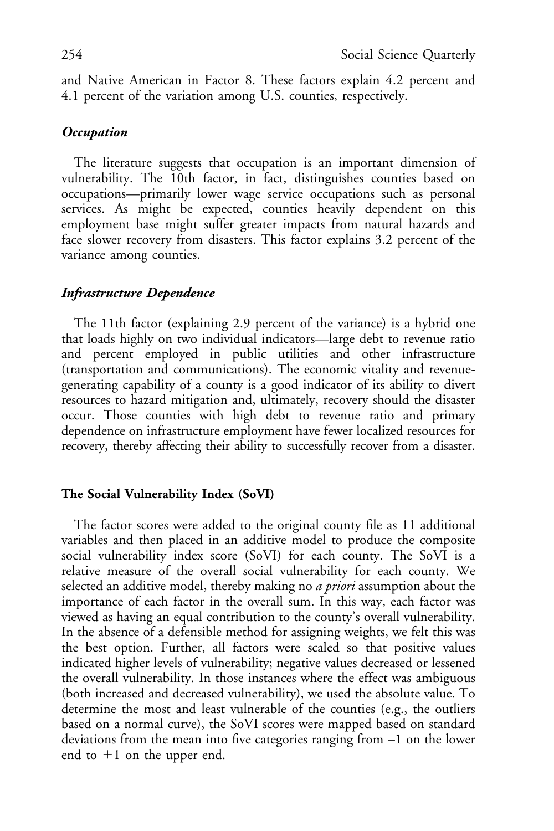and Native American in Factor 8. These factors explain 4.2 percent and 4.1 percent of the variation among U.S. counties, respectively.

## **Occupation**

The literature suggests that occupation is an important dimension of vulnerability. The 10th factor, in fact, distinguishes counties based on occupations—primarily lower wage service occupations such as personal services. As might be expected, counties heavily dependent on this employment base might suffer greater impacts from natural hazards and face slower recovery from disasters. This factor explains 3.2 percent of the variance among counties.

#### Infrastructure Dependence

The 11th factor (explaining 2.9 percent of the variance) is a hybrid one that loads highly on two individual indicators—large debt to revenue ratio and percent employed in public utilities and other infrastructure (transportation and communications). The economic vitality and revenuegenerating capability of a county is a good indicator of its ability to divert resources to hazard mitigation and, ultimately, recovery should the disaster occur. Those counties with high debt to revenue ratio and primary dependence on infrastructure employment have fewer localized resources for recovery, thereby affecting their ability to successfully recover from a disaster.

#### The Social Vulnerability Index (SoVI)

The factor scores were added to the original county file as 11 additional variables and then placed in an additive model to produce the composite social vulnerability index score (SoVI) for each county. The SoVI is a relative measure of the overall social vulnerability for each county. We selected an additive model, thereby making no *a priori* assumption about the importance of each factor in the overall sum. In this way, each factor was viewed as having an equal contribution to the county's overall vulnerability. In the absence of a defensible method for assigning weights, we felt this was the best option. Further, all factors were scaled so that positive values indicated higher levels of vulnerability; negative values decreased or lessened the overall vulnerability. In those instances where the effect was ambiguous (both increased and decreased vulnerability), we used the absolute value. To determine the most and least vulnerable of the counties (e.g., the outliers based on a normal curve), the SoVI scores were mapped based on standard deviations from the mean into five categories ranging from –1 on the lower end to  $+1$  on the upper end.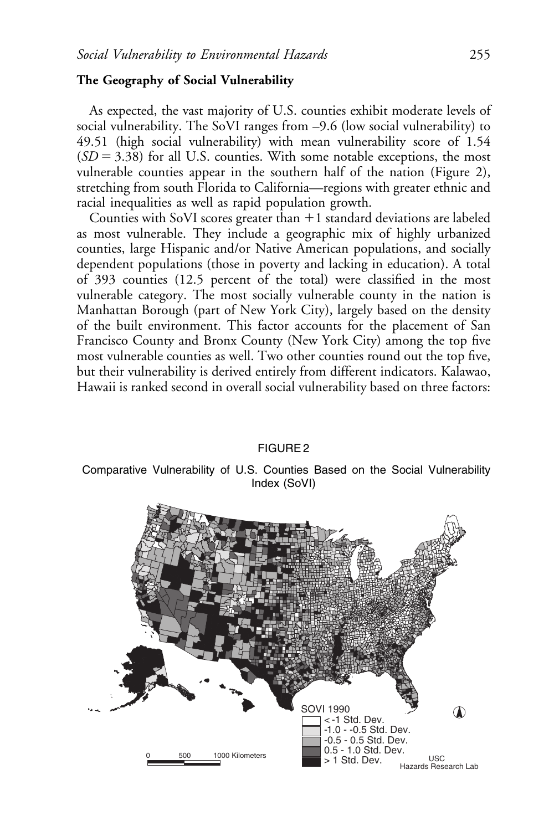# The Geography of Social Vulnerability

As expected, the vast majority of U.S. counties exhibit moderate levels of social vulnerability. The SoVI ranges from –9.6 (low social vulnerability) to 49.51 (high social vulnerability) with mean vulnerability score of 1.54  $(SD = 3.38)$  for all U.S. counties. With some notable exceptions, the most vulnerable counties appear in the southern half of the nation (Figure 2), stretching from south Florida to California—regions with greater ethnic and racial inequalities as well as rapid population growth.

Counties with SoVI scores greater than  $+1$  standard deviations are labeled as most vulnerable. They include a geographic mix of highly urbanized counties, large Hispanic and/or Native American populations, and socially dependent populations (those in poverty and lacking in education). A total of 393 counties (12.5 percent of the total) were classified in the most vulnerable category. The most socially vulnerable county in the nation is Manhattan Borough (part of New York City), largely based on the density of the built environment. This factor accounts for the placement of San Francisco County and Bronx County (New York City) among the top five most vulnerable counties as well. Two other counties round out the top five, but their vulnerability is derived entirely from different indicators. Kalawao, Hawaii is ranked second in overall social vulnerability based on three factors:

#### FIGURE 2

Comparative Vulnerability of U.S. Counties Based on the Social Vulnerability Index (SoVI)

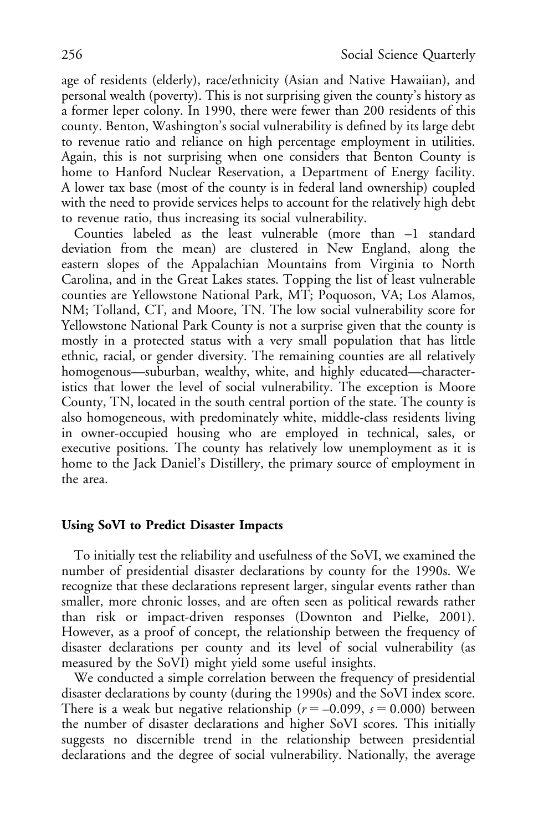age of residents (elderly), race/ethnicity (Asian and Native Hawaiian), and personal wealth (poverty). This is not surprising given the county's history as a former leper colony. In 1990, there were fewer than 200 residents of this county. Benton, Washington's social vulnerability is defined by its large debt to revenue ratio and reliance on high percentage employment in utilities. Again, this is not surprising when one considers that Benton County is home to Hanford Nuclear Reservation, a Department of Energy facility. A lower tax base (most of the county is in federal land ownership) coupled with the need to provide services helps to account for the relatively high debt to revenue ratio, thus increasing its social vulnerability.

Counties labeled as the least vulnerable (more than –1 standard deviation from the mean) are clustered in New England, along the eastern slopes of the Appalachian Mountains from Virginia to North Carolina, and in the Great Lakes states. Topping the list of least vulnerable counties are Yellowstone National Park, MT; Poquoson, VA; Los Alamos, NM; Tolland, CT, and Moore, TN. The low social vulnerability score for Yellowstone National Park County is not a surprise given that the county is mostly in a protected status with a very small population that has little ethnic, racial, or gender diversity. The remaining counties are all relatively homogenous—suburban, wealthy, white, and highly educated—characteristics that lower the level of social vulnerability. The exception is Moore County, TN, located in the south central portion of the state. The county is also homogeneous, with predominately white, middle-class residents living in owner-occupied housing who are employed in technical, sales, or executive positions. The county has relatively low unemployment as it is home to the Jack Daniel's Distillery, the primary source of employment in the area.

## Using SoVI to Predict Disaster Impacts

To initially test the reliability and usefulness of the SoVI, we examined the number of presidential disaster declarations by county for the 1990s. We recognize that these declarations represent larger, singular events rather than smaller, more chronic losses, and are often seen as political rewards rather than risk or impact-driven responses (Downton and Pielke, 2001). However, as a proof of concept, the relationship between the frequency of disaster declarations per county and its level of social vulnerability (as measured by the SoVI) might yield some useful insights.

We conducted a simple correlation between the frequency of presidential disaster declarations by county (during the 1990s) and the SoVI index score. There is a weak but negative relationship ( $r = -0.099$ ,  $s = 0.000$ ) between the number of disaster declarations and higher SoVI scores. This initially suggests no discernible trend in the relationship between presidential declarations and the degree of social vulnerability. Nationally, the average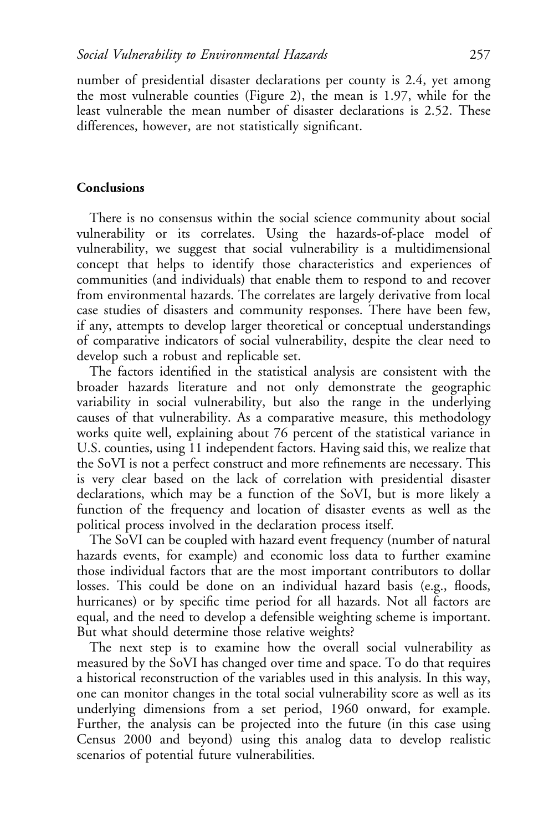number of presidential disaster declarations per county is 2.4, yet among the most vulnerable counties (Figure 2), the mean is 1.97, while for the least vulnerable the mean number of disaster declarations is 2.52. These differences, however, are not statistically significant.

## Conclusions

There is no consensus within the social science community about social vulnerability or its correlates. Using the hazards-of-place model of vulnerability, we suggest that social vulnerability is a multidimensional concept that helps to identify those characteristics and experiences of communities (and individuals) that enable them to respond to and recover from environmental hazards. The correlates are largely derivative from local case studies of disasters and community responses. There have been few, if any, attempts to develop larger theoretical or conceptual understandings of comparative indicators of social vulnerability, despite the clear need to develop such a robust and replicable set.

The factors identified in the statistical analysis are consistent with the broader hazards literature and not only demonstrate the geographic variability in social vulnerability, but also the range in the underlying causes of that vulnerability. As a comparative measure, this methodology works quite well, explaining about 76 percent of the statistical variance in U.S. counties, using 11 independent factors. Having said this, we realize that the SoVI is not a perfect construct and more refinements are necessary. This is very clear based on the lack of correlation with presidential disaster declarations, which may be a function of the SoVI, but is more likely a function of the frequency and location of disaster events as well as the political process involved in the declaration process itself.

The SoVI can be coupled with hazard event frequency (number of natural hazards events, for example) and economic loss data to further examine those individual factors that are the most important contributors to dollar losses. This could be done on an individual hazard basis (e.g., floods, hurricanes) or by specific time period for all hazards. Not all factors are equal, and the need to develop a defensible weighting scheme is important. But what should determine those relative weights?

The next step is to examine how the overall social vulnerability as measured by the SoVI has changed over time and space. To do that requires a historical reconstruction of the variables used in this analysis. In this way, one can monitor changes in the total social vulnerability score as well as its underlying dimensions from a set period, 1960 onward, for example. Further, the analysis can be projected into the future (in this case using Census 2000 and beyond) using this analog data to develop realistic scenarios of potential future vulnerabilities.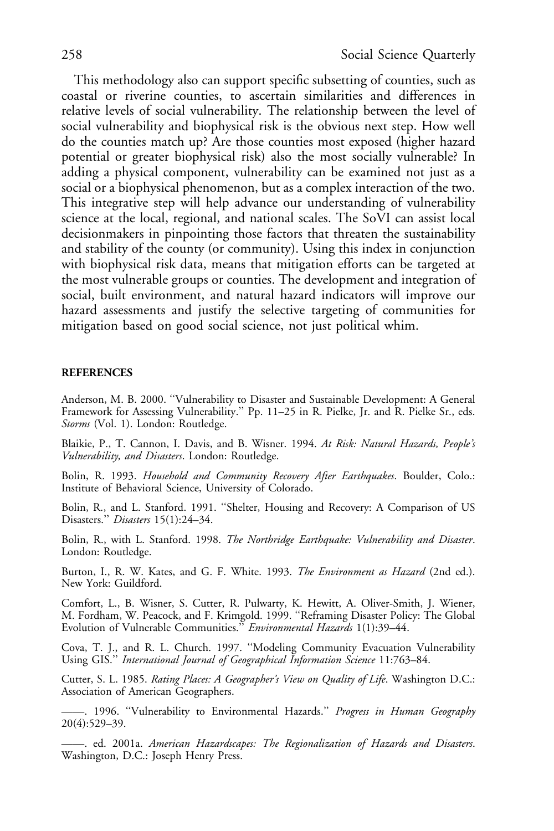This methodology also can support specific subsetting of counties, such as coastal or riverine counties, to ascertain similarities and differences in relative levels of social vulnerability. The relationship between the level of social vulnerability and biophysical risk is the obvious next step. How well do the counties match up? Are those counties most exposed (higher hazard potential or greater biophysical risk) also the most socially vulnerable? In adding a physical component, vulnerability can be examined not just as a social or a biophysical phenomenon, but as a complex interaction of the two. This integrative step will help advance our understanding of vulnerability science at the local, regional, and national scales. The SoVI can assist local decisionmakers in pinpointing those factors that threaten the sustainability and stability of the county (or community). Using this index in conjunction with biophysical risk data, means that mitigation efforts can be targeted at the most vulnerable groups or counties. The development and integration of social, built environment, and natural hazard indicators will improve our hazard assessments and justify the selective targeting of communities for mitigation based on good social science, not just political whim.

#### **REFERENCES**

Anderson, M. B. 2000. ''Vulnerability to Disaster and Sustainable Development: A General Framework for Assessing Vulnerability.'' Pp. 11–25 in R. Pielke, Jr. and R. Pielke Sr., eds. Storms (Vol. 1). London: Routledge.

Blaikie, P., T. Cannon, I. Davis, and B. Wisner. 1994. At Risk: Natural Hazards, People's Vulnerability, and Disasters. London: Routledge.

Bolin, R. 1993. Household and Community Recovery After Earthquakes. Boulder, Colo.: Institute of Behavioral Science, University of Colorado.

Bolin, R., and L. Stanford. 1991. ''Shelter, Housing and Recovery: A Comparison of US Disasters." Disasters 15(1):24-34.

Bolin, R., with L. Stanford. 1998. The Northridge Earthquake: Vulnerability and Disaster. London: Routledge.

Burton, I., R. W. Kates, and G. F. White. 1993. The Environment as Hazard (2nd ed.). New York: Guildford.

Comfort, L., B. Wisner, S. Cutter, R. Pulwarty, K. Hewitt, A. Oliver-Smith, J. Wiener, M. Fordham, W. Peacock, and F. Krimgold. 1999. ''Reframing Disaster Policy: The Global Evolution of Vulnerable Communities." Environmental Hazards 1(1):39-44.

Cova, T. J., and R. L. Church. 1997. ''Modeling Community Evacuation Vulnerability Using GIS.'' International Journal of Geographical Information Science 11:763–84.

Cutter, S. L. 1985. Rating Places: A Geographer's View on Quality of Life. Washington D.C.: Association of American Geographers.

-. 1996. "Vulnerability to Environmental Hazards." Progress in Human Geography 20(4):529–39.

——. ed. 2001a. American Hazardscapes: The Regionalization of Hazards and Disasters. Washington, D.C.: Joseph Henry Press.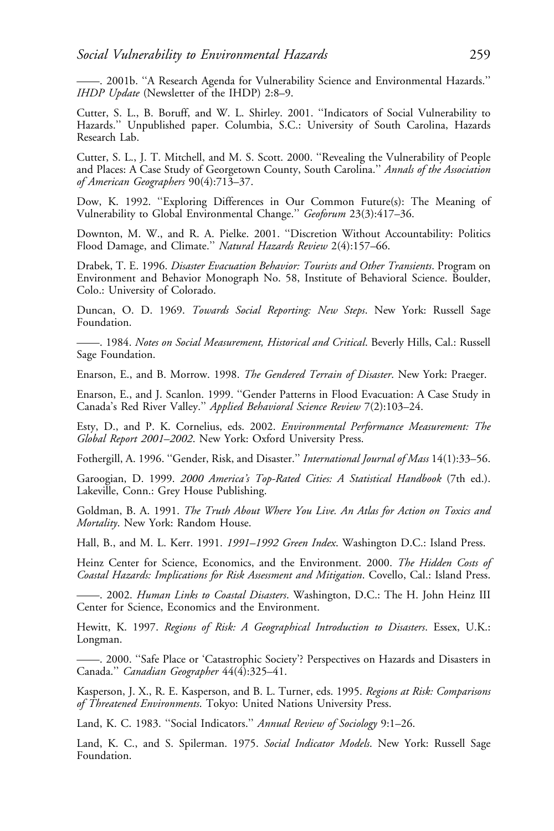——. 2001b. ''A Research Agenda for Vulnerability Science and Environmental Hazards.'' IHDP Update (Newsletter of the IHDP) 2:8–9.

Cutter, S. L., B. Boruff, and W. L. Shirley. 2001. ''Indicators of Social Vulnerability to Hazards.'' Unpublished paper. Columbia, S.C.: University of South Carolina, Hazards Research Lab.

Cutter, S. L., J. T. Mitchell, and M. S. Scott. 2000. ''Revealing the Vulnerability of People and Places: A Case Study of Georgetown County, South Carolina.'' Annals of the Association of American Geographers 90(4):713–37.

Dow, K. 1992. ''Exploring Differences in Our Common Future(s): The Meaning of Vulnerability to Global Environmental Change.'' Geoforum 23(3):417–36.

Downton, M. W., and R. A. Pielke. 2001. ''Discretion Without Accountability: Politics Flood Damage, and Climate." Natural Hazards Review 2(4):157-66.

Drabek, T. E. 1996. Disaster Evacuation Behavior: Tourists and Other Transients. Program on Environment and Behavior Monograph No. 58, Institute of Behavioral Science. Boulder, Colo.: University of Colorado.

Duncan, O. D. 1969. Towards Social Reporting: New Steps. New York: Russell Sage Foundation.

——. 1984. Notes on Social Measurement, Historical and Critical. Beverly Hills, Cal.: Russell Sage Foundation.

Enarson, E., and B. Morrow. 1998. The Gendered Terrain of Disaster. New York: Praeger.

Enarson, E., and J. Scanlon. 1999. ''Gender Patterns in Flood Evacuation: A Case Study in Canada's Red River Valley.'' Applied Behavioral Science Review 7(2):103–24.

Esty, D., and P. K. Cornelius, eds. 2002. Environmental Performance Measurement: The Global Report 2001-2002. New York: Oxford University Press.

Fothergill, A. 1996. "Gender, Risk, and Disaster." International Journal of Mass 14(1):33-56.

Garoogian, D. 1999. 2000 America's Top-Rated Cities: A Statistical Handbook (7th ed.). Lakeville, Conn.: Grey House Publishing.

Goldman, B. A. 1991. The Truth About Where You Live. An Atlas for Action on Toxics and Mortality. New York: Random House.

Hall, B., and M. L. Kerr. 1991. 1991–1992 Green Index. Washington D.C.: Island Press.

Heinz Center for Science, Economics, and the Environment. 2000. The Hidden Costs of Coastal Hazards: Implications for Risk Assessment and Mitigation. Covello, Cal.: Island Press.

-. 2002. Human Links to Coastal Disasters. Washington, D.C.: The H. John Heinz III Center for Science, Economics and the Environment.

Hewitt, K. 1997. Regions of Risk: A Geographical Introduction to Disasters. Essex, U.K.: Longman.

——. 2000. ''Safe Place or 'Catastrophic Society'? Perspectives on Hazards and Disasters in Canada.'' Canadian Geographer 44(4):325–41.

Kasperson, J. X., R. E. Kasperson, and B. L. Turner, eds. 1995. Regions at Risk: Comparisons of Threatened Environments. Tokyo: United Nations University Press.

Land, K. C. 1983. "Social Indicators." Annual Review of Sociology 9:1-26.

Land, K. C., and S. Spilerman. 1975. Social Indicator Models. New York: Russell Sage Foundation.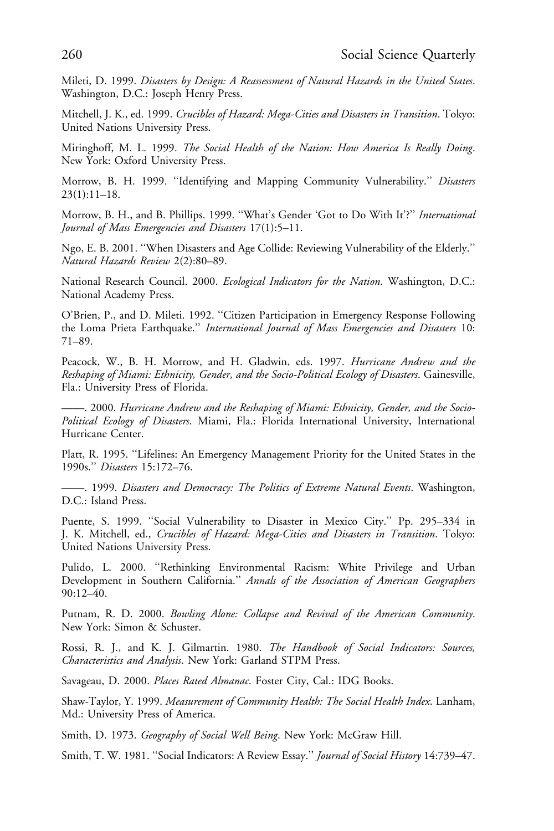Mileti, D. 1999. Disasters by Design: A Reassessment of Natural Hazards in the United States. Washington, D.C.: Joseph Henry Press.

Mitchell, J. K., ed. 1999. Crucibles of Hazard: Mega-Cities and Disasters in Transition. Tokyo: United Nations University Press.

Miringhoff, M. L. 1999. The Social Health of the Nation: How America Is Really Doing. New York: Oxford University Press.

Morrow, B. H. 1999. ''Identifying and Mapping Community Vulnerability.'' Disasters  $23(1):11-18.$ 

Morrow, B. H., and B. Phillips. 1999. ''What's Gender 'Got to Do With It'?'' International Journal of Mass Emergencies and Disasters 17(1):5–11.

Ngo, E. B. 2001. ''When Disasters and Age Collide: Reviewing Vulnerability of the Elderly.'' Natural Hazards Review 2(2):80–89.

National Research Council. 2000. Ecological Indicators for the Nation. Washington, D.C.: National Academy Press.

O'Brien, P., and D. Mileti. 1992. ''Citizen Participation in Emergency Response Following the Loma Prieta Earthquake.'' International Journal of Mass Emergencies and Disasters 10: 71–89.

Peacock, W., B. H. Morrow, and H. Gladwin, eds. 1997. Hurricane Andrew and the Reshaping of Miami: Ethnicity, Gender, and the Socio-Political Ecology of Disasters. Gainesville, Fla.: University Press of Florida.

——. 2000. Hurricane Andrew and the Reshaping of Miami: Ethnicity, Gender, and the Socio-Political Ecology of Disasters. Miami, Fla.: Florida International University, International Hurricane Center.

Platt, R. 1995. ''Lifelines: An Emergency Management Priority for the United States in the 1990s.'' Disasters 15:172–76.

——. 1999. Disasters and Democracy: The Politics of Extreme Natural Events. Washington, D.C.: Island Press.

Puente, S. 1999. "Social Vulnerability to Disaster in Mexico City." Pp. 295-334 in J. K. Mitchell, ed., Crucibles of Hazard: Mega-Cities and Disasters in Transition. Tokyo: United Nations University Press.

Pulido, L. 2000. ''Rethinking Environmental Racism: White Privilege and Urban Development in Southern California.'' Annals of the Association of American Geographers 90:12–40.

Putnam, R. D. 2000. Bowling Alone: Collapse and Revival of the American Community. New York: Simon & Schuster.

Rossi, R. J., and K. J. Gilmartin. 1980. The Handbook of Social Indicators: Sources, Characteristics and Analysis. New York: Garland STPM Press.

Savageau, D. 2000. Places Rated Almanac. Foster City, Cal.: IDG Books.

Shaw-Taylor, Y. 1999. Measurement of Community Health: The Social Health Index. Lanham, Md.: University Press of America.

Smith, D. 1973. Geography of Social Well Being. New York: McGraw Hill.

Smith, T. W. 1981. ''Social Indicators: A Review Essay.'' Journal of Social History 14:739–47.